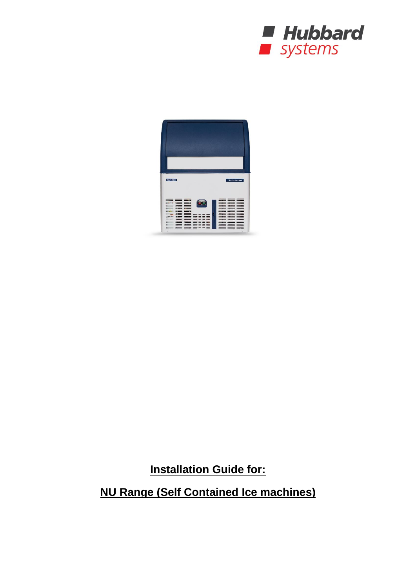



**Installation Guide for:**

**NU Range (Self Contained Ice machines)**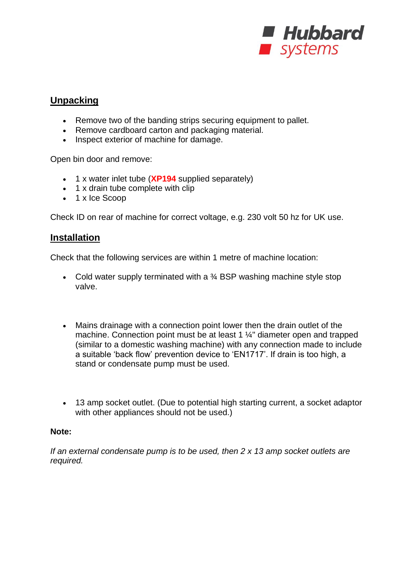

## **Unpacking**

- Remove two of the banding strips securing equipment to pallet.
- Remove cardboard carton and packaging material.
- Inspect exterior of machine for damage.

Open bin door and remove:

- 1 x water inlet tube (**XP194** supplied separately)
- 1 x drain tube complete with clip
- 1 x Ice Scoop

Check ID on rear of machine for correct voltage, e.g. 230 volt 50 hz for UK use.

## **Installation**

Check that the following services are within 1 metre of machine location:

- Cold water supply terminated with a  $\frac{3}{4}$  BSP washing machine style stop valve.
- Mains drainage with a connection point lower then the drain outlet of the machine. Connection point must be at least 1 ¼" diameter open and trapped (similar to a domestic washing machine) with any connection made to include a suitable 'back flow' prevention device to 'EN1717'. If drain is too high, a stand or condensate pump must be used.
- 13 amp socket outlet. (Due to potential high starting current, a socket adaptor with other appliances should not be used.)

#### **Note:**

*If an external condensate pump is to be used, then 2 x 13 amp socket outlets are required.*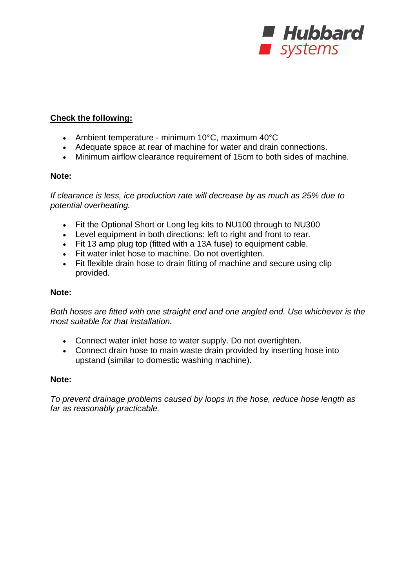

### **Check the following:**

- Ambient temperature minimum 10°C, maximum 40°C
- Adequate space at rear of machine for water and drain connections.
- Minimum airflow clearance requirement of 15cm to both sides of machine.

#### **Note:**

*If clearance is less, ice production rate will decrease by as much as 25% due to potential overheating.*

- Fit the Optional Short or Long leg kits to NU100 through to NU300
- Level equipment in both directions: left to right and front to rear.
- Fit 13 amp plug top (fitted with a 13A fuse) to equipment cable.
- Fit water inlet hose to machine. Do not overtighten.
- Fit flexible drain hose to drain fitting of machine and secure using clip provided.

#### **Note:**

*Both hoses are fitted with one straight end and one angled end. Use whichever is the most suitable for that installation.*

- Connect water inlet hose to water supply. Do not overtighten.
- Connect drain hose to main waste drain provided by inserting hose into upstand (similar to domestic washing machine).

#### **Note:**

*To prevent drainage problems caused by loops in the hose, reduce hose length as far as reasonably practicable.*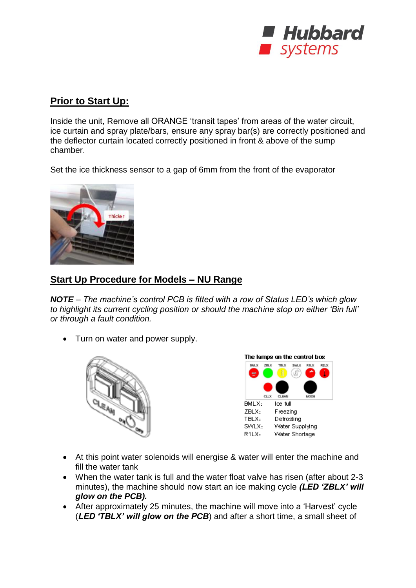

# **Prior to Start Up:**

Inside the unit, Remove all ORANGE 'transit tapes' from areas of the water circuit, ice curtain and spray plate/bars, ensure any spray bar(s) are correctly positioned and the deflector curtain located correctly positioned in front & above of the sump chamber.

Set the ice thickness sensor to a gap of 6mm from the front of the evaporator



## **Start Up Procedure for Models – NU Range**

*NOTE – The machine's control PCB is fitted with a row of Status LED's which glow to highlight its current cycling position or should the machine stop on either 'Bin full' or through a fault condition.*

• Turn on water and power supply.





- At this point water solenoids will energise & water will enter the machine and fill the water tank
- When the water tank is full and the water float valve has risen (after about 2-3 minutes), the machine should now start an ice making cycle *(LED 'ZBLX' will glow on the PCB).*
- After approximately 25 minutes, the machine will move into a 'Harvest' cycle (*LED 'TBLX' will glow on the PCB*) and after a short time, a small sheet of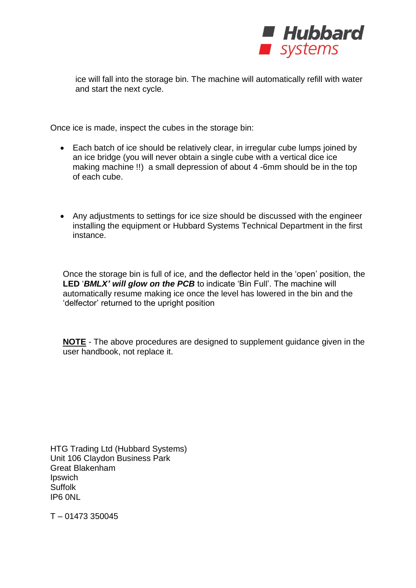

ice will fall into the storage bin. The machine will automatically refill with water and start the next cycle.

Once ice is made, inspect the cubes in the storage bin:

- Each batch of ice should be relatively clear, in irregular cube lumps joined by an ice bridge (you will never obtain a single cube with a vertical dice ice making machine !!) a small depression of about 4 -6mm should be in the top of each cube.
- Any adjustments to settings for ice size should be discussed with the engineer installing the equipment or Hubbard Systems Technical Department in the first instance.

Once the storage bin is full of ice, and the deflector held in the 'open' position, the **LED** '*BMLX' will glow on the PCB* to indicate 'Bin Full'. The machine will automatically resume making ice once the level has lowered in the bin and the 'delfector' returned to the upright position

**NOTE** - The above procedures are designed to supplement guidance given in the user handbook, not replace it.

HTG Trading Ltd (Hubbard Systems) Unit 106 Claydon Business Park Great Blakenham Ipswich Suffolk IP6 0NL

T – 01473 350045